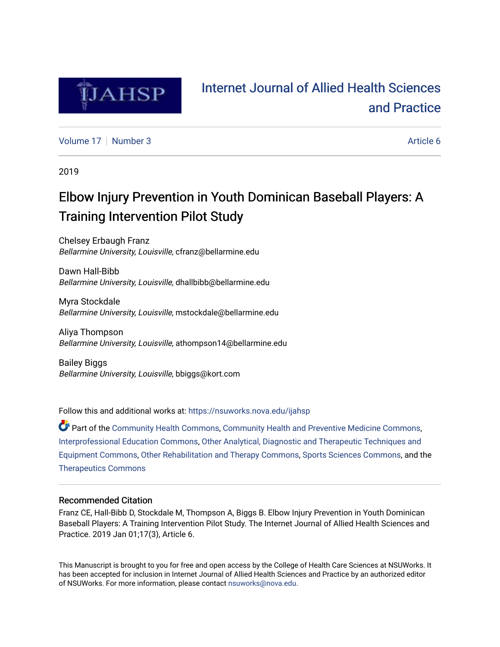

# [Internet Journal of Allied Health Sciences](https://nsuworks.nova.edu/ijahsp)  [and Practice](https://nsuworks.nova.edu/ijahsp)

[Volume 17](https://nsuworks.nova.edu/ijahsp/vol17) | [Number 3](https://nsuworks.nova.edu/ijahsp/vol17/iss3) Article 6

2019

# Elbow Injury Prevention in Youth Dominican Baseball Players: A Training Intervention Pilot Study

Chelsey Erbaugh Franz Bellarmine University, Louisville, cfranz@bellarmine.edu

Dawn Hall-Bibb Bellarmine University, Louisville, dhallbibb@bellarmine.edu

Myra Stockdale Bellarmine University, Louisville, mstockdale@bellarmine.edu

Aliya Thompson Bellarmine University, Louisville, athompson14@bellarmine.edu

Bailey Biggs Bellarmine University, Louisville, bbiggs@kort.com

Follow this and additional works at: [https://nsuworks.nova.edu/ijahsp](https://nsuworks.nova.edu/ijahsp?utm_source=nsuworks.nova.edu%2Fijahsp%2Fvol17%2Fiss3%2F6&utm_medium=PDF&utm_campaign=PDFCoverPages) 

Part of the [Community Health Commons,](http://network.bepress.com/hgg/discipline/714?utm_source=nsuworks.nova.edu%2Fijahsp%2Fvol17%2Fiss3%2F6&utm_medium=PDF&utm_campaign=PDFCoverPages) [Community Health and Preventive Medicine Commons](http://network.bepress.com/hgg/discipline/744?utm_source=nsuworks.nova.edu%2Fijahsp%2Fvol17%2Fiss3%2F6&utm_medium=PDF&utm_campaign=PDFCoverPages), [Interprofessional Education Commons,](http://network.bepress.com/hgg/discipline/1372?utm_source=nsuworks.nova.edu%2Fijahsp%2Fvol17%2Fiss3%2F6&utm_medium=PDF&utm_campaign=PDFCoverPages) [Other Analytical, Diagnostic and Therapeutic Techniques and](http://network.bepress.com/hgg/discipline/994?utm_source=nsuworks.nova.edu%2Fijahsp%2Fvol17%2Fiss3%2F6&utm_medium=PDF&utm_campaign=PDFCoverPages)  [Equipment Commons](http://network.bepress.com/hgg/discipline/994?utm_source=nsuworks.nova.edu%2Fijahsp%2Fvol17%2Fiss3%2F6&utm_medium=PDF&utm_campaign=PDFCoverPages), [Other Rehabilitation and Therapy Commons](http://network.bepress.com/hgg/discipline/758?utm_source=nsuworks.nova.edu%2Fijahsp%2Fvol17%2Fiss3%2F6&utm_medium=PDF&utm_campaign=PDFCoverPages), [Sports Sciences Commons](http://network.bepress.com/hgg/discipline/759?utm_source=nsuworks.nova.edu%2Fijahsp%2Fvol17%2Fiss3%2F6&utm_medium=PDF&utm_campaign=PDFCoverPages), and the [Therapeutics Commons](http://network.bepress.com/hgg/discipline/993?utm_source=nsuworks.nova.edu%2Fijahsp%2Fvol17%2Fiss3%2F6&utm_medium=PDF&utm_campaign=PDFCoverPages)

# Recommended Citation

Franz CE, Hall-Bibb D, Stockdale M, Thompson A, Biggs B. Elbow Injury Prevention in Youth Dominican Baseball Players: A Training Intervention Pilot Study. The Internet Journal of Allied Health Sciences and Practice. 2019 Jan 01;17(3), Article 6.

This Manuscript is brought to you for free and open access by the College of Health Care Sciences at NSUWorks. It has been accepted for inclusion in Internet Journal of Allied Health Sciences and Practice by an authorized editor of NSUWorks. For more information, please contact [nsuworks@nova.edu.](mailto:nsuworks@nova.edu)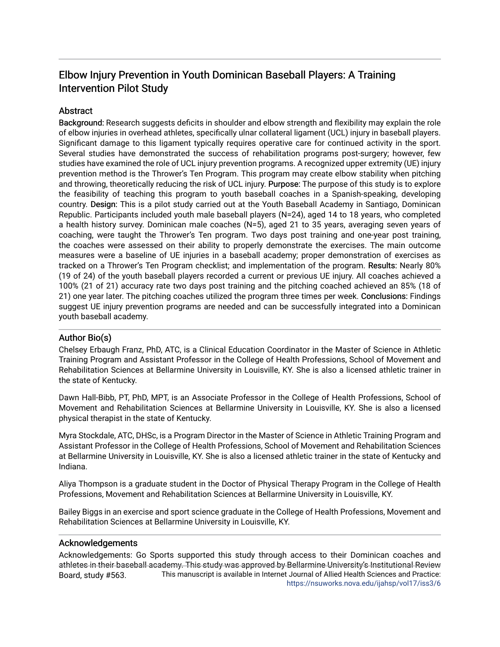# Elbow Injury Prevention in Youth Dominican Baseball Players: A Training Intervention Pilot Study

## **Abstract**

Background: Research suggests deficits in shoulder and elbow strength and flexibility may explain the role of elbow injuries in overhead athletes, specifically ulnar collateral ligament (UCL) injury in baseball players. Significant damage to this ligament typically requires operative care for continued activity in the sport. Several studies have demonstrated the success of rehabilitation programs post-surgery; however, few studies have examined the role of UCL injury prevention programs. A recognized upper extremity (UE) injury prevention method is the Thrower's Ten Program. This program may create elbow stability when pitching and throwing, theoretically reducing the risk of UCL injury. Purpose: The purpose of this study is to explore the feasibility of teaching this program to youth baseball coaches in a Spanish-speaking, developing country. Design: This is a pilot study carried out at the Youth Baseball Academy in Santiago, Dominican Republic. Participants included youth male baseball players (N=24), aged 14 to 18 years, who completed a health history survey. Dominican male coaches (N=5), aged 21 to 35 years, averaging seven years of coaching, were taught the Thrower's Ten program. Two days post training and one-year post training, the coaches were assessed on their ability to properly demonstrate the exercises. The main outcome measures were a baseline of UE injuries in a baseball academy; proper demonstration of exercises as tracked on a Thrower's Ten Program checklist; and implementation of the program. Results: Nearly 80% (19 of 24) of the youth baseball players recorded a current or previous UE injury. All coaches achieved a 100% (21 of 21) accuracy rate two days post training and the pitching coached achieved an 85% (18 of 21) one year later. The pitching coaches utilized the program three times per week. Conclusions: Findings suggest UE injury prevention programs are needed and can be successfully integrated into a Dominican youth baseball academy.

## Author Bio(s)

Chelsey Erbaugh Franz, PhD, ATC, is a Clinical Education Coordinator in the Master of Science in Athletic Training Program and Assistant Professor in the College of Health Professions, School of Movement and Rehabilitation Sciences at Bellarmine University in Louisville, KY. She is also a licensed athletic trainer in the state of Kentucky.

Dawn Hall-Bibb, PT, PhD, MPT, is an Associate Professor in the College of Health Professions, School of Movement and Rehabilitation Sciences at Bellarmine University in Louisville, KY. She is also a licensed physical therapist in the state of Kentucky.

Myra Stockdale, ATC, DHSc, is a Program Director in the Master of Science in Athletic Training Program and Assistant Professor in the College of Health Professions, School of Movement and Rehabilitation Sciences at Bellarmine University in Louisville, KY. She is also a licensed athletic trainer in the state of Kentucky and Indiana.

Aliya Thompson is a graduate student in the Doctor of Physical Therapy Program in the College of Health Professions, Movement and Rehabilitation Sciences at Bellarmine University in Louisville, KY.

Bailey Biggs in an exercise and sport science graduate in the College of Health Professions, Movement and Rehabilitation Sciences at Bellarmine University in Louisville, KY.

## Acknowledgements

Acknowledgements: Go Sports supported this study through access to their Dominican coaches and athletes in their baseball academy. This study was approved by Bellarmine University's Institutional Review Board, study #563. This manuscript is available in Internet Journal of Allied Health Sciences and Practice: [https://nsuworks.nova.edu/ijahsp/vol17/iss3/6](https://nsuworks.nova.edu/ijahsp/vol17/iss3/6?utm_source=nsuworks.nova.edu%2Fijahsp%2Fvol17%2Fiss3%2F6&utm_medium=PDF&utm_campaign=PDFCoverPages)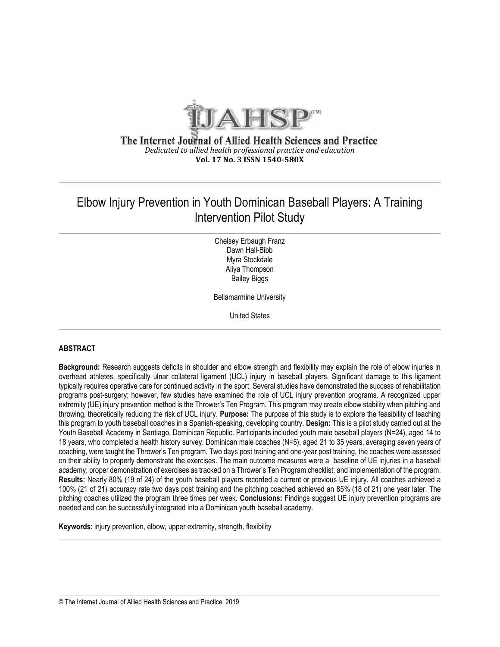

The Internet Journal of Allied Health Sciences and Practice *Dedicated to allied health professional practice and education* **Vol. 17 No. 3 ISSN 1540-580X**

# Elbow Injury Prevention in Youth Dominican Baseball Players: A Training Intervention Pilot Study

Chelsey Erbaugh Franz Dawn Hall-Bibb Myra Stockdale Aliya Thompson Bailey Biggs

Bellamarmine University

United States

## **ABSTRACT**

**Background:** Research suggests deficits in shoulder and elbow strength and flexibility may explain the role of elbow injuries in overhead athletes, specifically ulnar collateral ligament (UCL) injury in baseball players. Significant damage to this ligament typically requires operative care for continued activity in the sport. Several studies have demonstrated the success of rehabilitation programs post-surgery; however, few studies have examined the role of UCL injury prevention programs. A recognized upper extremity (UE) injury prevention method is the Thrower's Ten Program. This program may create elbow stability when pitching and throwing, theoretically reducing the risk of UCL injury. **Purpose:** The purpose of this study is to explore the feasibility of teaching this program to youth baseball coaches in a Spanish-speaking, developing country. **Design:** This is a pilot study carried out at the Youth Baseball Academy in Santiago, Dominican Republic. Participants included youth male baseball players (N=24), aged 14 to 18 years, who completed a health history survey. Dominican male coaches (N=5), aged 21 to 35 years, averaging seven years of coaching, were taught the Thrower's Ten program. Two days post training and one-year post training, the coaches were assessed on their ability to properly demonstrate the exercises. The main outcome measures were a baseline of UE injuries in a baseball academy; proper demonstration of exercises as tracked on a Thrower's Ten Program checklist; and implementation of the program. **Results:** Nearly 80% (19 of 24) of the youth baseball players recorded a current or previous UE injury. All coaches achieved a 100% (21 of 21) accuracy rate two days post training and the pitching coached achieved an 85% (18 of 21) one year later. The pitching coaches utilized the program three times per week. **Conclusions:** Findings suggest UE injury prevention programs are needed and can be successfully integrated into a Dominican youth baseball academy.

**Keywords**: injury prevention, elbow, upper extremity, strength, flexibility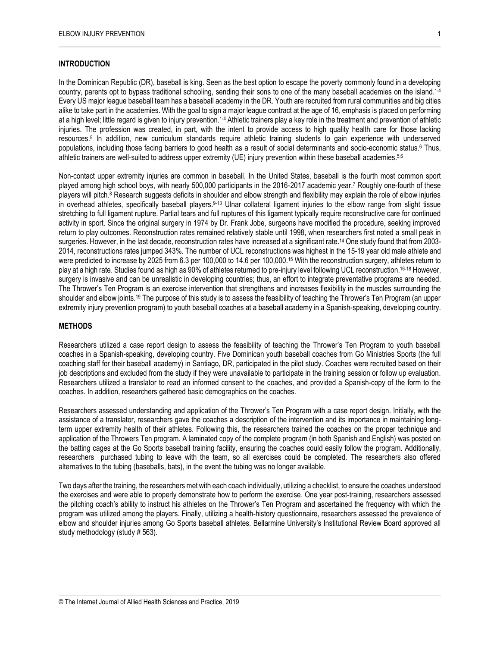#### **INTRODUCTION**

In the Dominican Republic (DR), baseball is king. Seen as the best option to escape the poverty commonly found in a developing country, parents opt to bypass traditional schooling, sending their sons to one of the many baseball academies on the island.<sup>14</sup> Every US major league baseball team has a baseball academy in the DR. Youth are recruited from rural communities and big cities alike to take part in the academies. With the goal to sign a major league contract at the age of 16, emphasis is placed on performing at a high level; little regard is given to injury prevention.<sup>1.4</sup> Athletic trainers play a key role in the treatment and prevention of athletic injuries. The profession was created, in part, with the intent to provide access to high quality health care for those lacking resources. 5 In addition, new curriculum standards require athletic training students to gain experience with underserved populations, including those facing barriers to good health as a result of social determinants and socio-economic status. <sup>6</sup> Thus, athletic trainers are well-suited to address upper extremity (UE) injury prevention within these baseball academies.<sup>5,6</sup>

Non-contact upper extremity injuries are common in baseball. In the United States, baseball is the fourth most common sport played among high school boys, with nearly 500,000 participants in the 2016-2017 academic year. <sup>7</sup> Roughly one-fourth of these players will pitch.<sup>8</sup> Research suggests deficits in shoulder and elbow strength and flexibility may explain the role of elbow injuries in overhead athletes, specifically baseball players.<sup>9-13</sup> Ulnar collateral ligament injuries to the elbow range from slight tissue stretching to full ligament rupture. Partial tears and full ruptures of this ligament typically require reconstructive care for continued activity in sport. Since the original surgery in 1974 by Dr. Frank Jobe, surgeons have modified the procedure, seeking improved return to play outcomes. Reconstruction rates remained relatively stable until 1998, when researchers first noted a small peak in surgeries. However, in the last decade, reconstruction rates have increased at a significant rate. <sup>14</sup> One study found that from 2003- 2014, reconstructions rates jumped 343%. The number of UCL reconstructions was highest in the 15-19 year old male athlete and were predicted to increase by 2025 from 6.3 per 100,000 to 14.6 per 100,000.<sup>15</sup> With the reconstruction surgery, athletes return to play at a high rate. Studies found as high as 90% of athletes returned to pre-injury level following UCL reconstruction. 16-18 However, surgery is invasive and can be unrealistic in developing countries; thus, an effort to integrate preventative programs are needed. The Thrower's Ten Program is an exercise intervention that strengthens and increases flexibility in the muscles surrounding the shoulder and elbow joints.<sup>19</sup> The purpose of this study is to assess the feasibility of teaching the Thrower's Ten Program (an upper extremity injury prevention program) to youth baseball coaches at a baseball academy in a Spanish-speaking, developing country.

#### **METHODS**

Researchers utilized a case report design to assess the feasibility of teaching the Thrower's Ten Program to youth baseball coaches in a Spanish-speaking, developing country. Five Dominican youth baseball coaches from Go Ministries Sports (the full coaching staff for their baseball academy) in Santiago, DR, participated in the pilot study. Coaches were recruited based on their job descriptions and excluded from the study if they were unavailable to participate in the training session or follow up evaluation. Researchers utilized a translator to read an informed consent to the coaches, and provided a Spanish-copy of the form to the coaches. In addition, researchers gathered basic demographics on the coaches.

Researchers assessed understanding and application of the Thrower's Ten Program with a case report design. Initially, with the assistance of a translator, researchers gave the coaches a description of the intervention and its importance in maintaining longterm upper extremity health of their athletes. Following this, the researchers trained the coaches on the proper technique and application of the Throwers Ten program. A laminated copy of the complete program (in both Spanish and English) was posted on the batting cages at the Go Sports baseball training facility, ensuring the coaches could easily follow the program. Additionally, researchers purchased tubing to leave with the team, so all exercises could be completed. The researchers also offered alternatives to the tubing (baseballs, bats), in the event the tubing was no longer available.

Two days after the training, the researchers met with each coach individually, utilizing a checklist, to ensure the coaches understood the exercises and were able to properly demonstrate how to perform the exercise. One year post-training, researchers assessed the pitching coach's ability to instruct his athletes on the Thrower's Ten Program and ascertained the frequency with which the program was utilized among the players. Finally, utilizing a health-history questionnaire, researchers assessed the prevalence of elbow and shoulder injuries among Go Sports baseball athletes. Bellarmine University's Institutional Review Board approved all study methodology (study # 563).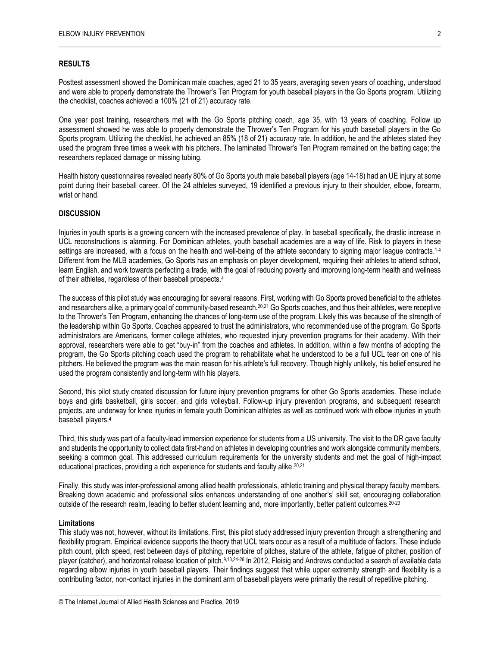#### **RESULTS**

Posttest assessment showed the Dominican male coaches, aged 21 to 35 years, averaging seven years of coaching, understood and were able to properly demonstrate the Thrower's Ten Program for youth baseball players in the Go Sports program. Utilizing the checklist, coaches achieved a 100% (21 of 21) accuracy rate.

One year post training, researchers met with the Go Sports pitching coach, age 35, with 13 years of coaching. Follow up assessment showed he was able to properly demonstrate the Thrower's Ten Program for his youth baseball players in the Go Sports program. Utilizing the checklist, he achieved an 85% (18 of 21) accuracy rate. In addition, he and the athletes stated they used the program three times a week with his pitchers. The laminated Thrower's Ten Program remained on the batting cage; the researchers replaced damage or missing tubing.

Health history questionnaires revealed nearly 80% of Go Sports youth male baseball players (age 14-18) had an UE injury at some point during their baseball career. Of the 24 athletes surveyed, 19 identified a previous injury to their shoulder, elbow, forearm, wrist or hand.

#### **DISCUSSION**

Injuries in youth sports is a growing concern with the increased prevalence of play. In baseball specifically, the drastic increase in UCL reconstructions is alarming. For Dominican athletes, youth baseball academies are a way of life. Risk to players in these settings are increased, with a focus on the health and well-being of the athlete secondary to signing major league contracts.<sup>14</sup> Different from the MLB academies, Go Sports has an emphasis on player development, requiring their athletes to attend school, learn English, and work towards perfecting a trade, with the goal of reducing poverty and improving long-term health and wellness of their athletes, regardless of their baseball prospects. 4

The success of this pilot study was encouraging for several reasons. First, working with Go Sports proved beneficial to the athletes and researchers alike, a primary goal of community-based research.<sup>20,21</sup> Go Sports coaches, and thus their athletes, were receptive to the Thrower's Ten Program, enhancing the chances of long-term use of the program. Likely this was because of the strength of the leadership within Go Sports. Coaches appeared to trust the administrators, who recommended use of the program. Go Sports administrators are Americans, former college athletes, who requested injury prevention programs for their academy. With their approval, researchers were able to get "buy-in" from the coaches and athletes. In addition, within a few months of adopting the program, the Go Sports pitching coach used the program to rehabilitate what he understood to be a full UCL tear on one of his pitchers. He believed the program was the main reason for his athlete's full recovery. Though highly unlikely, his belief ensured he used the program consistently and long-term with his players.

Second, this pilot study created discussion for future injury prevention programs for other Go Sports academies. These include boys and girls basketball, girls soccer, and girls volleyball. Follow-up injury prevention programs, and subsequent research projects, are underway for knee injuries in female youth Dominican athletes as well as continued work with elbow injuries in youth baseball players. 4

Third, this study was part of a faculty-lead immersion experience for students from a US university. The visit to the DR gave faculty and students the opportunity to collect data first-hand on athletes in developing countries and work alongside community members, seeking a common goal. This addressed curriculum requirements for the university students and met the goal of high-impact educational practices, providing a rich experience for students and faculty alike.<sup>20,21</sup>

Finally, this study was inter-professional among allied health professionals, athletic training and physical therapy faculty members. Breaking down academic and professional silos enhances understanding of one another's' skill set, encouraging collaboration outside of the research realm, leading to better student learning and, more importantly, better patient outcomes.<sup>20-23</sup>

#### **Limitations**

This study was not, however, without its limitations. First, this pilot study addressed injury prevention through a strengthening and flexibility program. Empirical evidence supports the theory that UCL tears occur as a result of a multitude of factors. These include pitch count, pitch speed, rest between days of pitching, repertoire of pitches, stature of the athlete, fatigue of pitcher, position of player (catcher), and horizontal release location of pitch.<sup>9,13,24-26</sup> In 2012, Fleisig and Andrews conducted a search of available data regarding elbow injuries in youth baseball players. Their findings suggest that while upper extremity strength and flexibility is a contributing factor, non-contact injuries in the dominant arm of baseball players were primarily the result of repetitive pitching.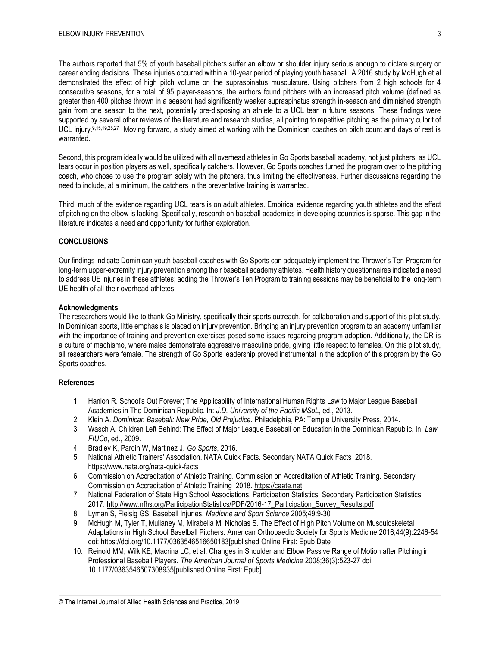The authors reported that 5% of youth baseball pitchers suffer an elbow or shoulder injury serious enough to dictate surgery or career ending decisions. These injuries occurred within a 10-year period of playing youth baseball. A 2016 study by McHugh et al demonstrated the effect of high pitch volume on the supraspinatus musculature. Using pitchers from 2 high schools for 4 consecutive seasons, for a total of 95 player-seasons, the authors found pitchers with an increased pitch volume (defined as greater than 400 pitches thrown in a season) had significantly weaker supraspinatus strength in-season and diminished strength gain from one season to the next, potentially pre-disposing an athlete to a UCL tear in future seasons. These findings were supported by several other reviews of the literature and research studies, all pointing to repetitive pitching as the primary culprit of UCL injury. 9,15,19,25,27 Moving forward, a study aimed at working with the Dominican coaches on pitch count and days of rest is warranted.

Second, this program ideally would be utilized with all overhead athletes in Go Sports baseball academy, not just pitchers, as UCL tears occur in position players as well, specifically catchers. However, Go Sports coaches turned the program over to the pitching coach, who chose to use the program solely with the pitchers, thus limiting the effectiveness. Further discussions regarding the need to include, at a minimum, the catchers in the preventative training is warranted.

Third, much of the evidence regarding UCL tears is on adult athletes. Empirical evidence regarding youth athletes and the effect of pitching on the elbow is lacking. Specifically, research on baseball academies in developing countries is sparse. This gap in the literature indicates a need and opportunity for further exploration.

#### **CONCLUSIONS**

Our findings indicate Dominican youth baseball coaches with Go Sports can adequately implement the Thrower's Ten Program for long-term upper-extremity injury prevention among their baseball academy athletes. Health history questionnaires indicated a need to address UE injuries in these athletes; adding the Thrower's Ten Program to training sessions may be beneficial to the long-term UE health of all their overhead athletes.

#### **Acknowledgments**

The researchers would like to thank Go Ministry, specifically their sports outreach, for collaboration and support of this pilot study. In Dominican sports, little emphasis is placed on injury prevention. Bringing an injury prevention program to an academy unfamiliar with the importance of training and prevention exercises posed some issues regarding program adoption. Additionally, the DR is a culture of machismo, where males demonstrate aggressive masculine pride, giving little respect to females. On this pilot study, all researchers were female. The strength of Go Sports leadership proved instrumental in the adoption of this program by the Go Sports coaches.

#### **References**

- 1. Hanlon R. School's Out Forever; The Applicability of International Human Rights Law to Major League Baseball Academies in The Dominican Republic. In: *J.D. University of the Pacific MSoL*, ed., 2013.
- 2. Klein A. *Dominican Baseball: New Pride, Old Prejudice*. Philadelphia, PA: Temple University Press, 2014.
- 3. Wasch A. Children Left Behind: The Effect of Major League Baseball on Education in the Dominican Republic. In: *Law FIUCo*, ed., 2009.
- 4. Bradley K, Pardin W, Martinez J. *Go Sports*, 2016.
- 5. National Athletic Trainers' Association. NATA Quick Facts. Secondary NATA Quick Facts 2018. <https://www.nata.org/nata-quick-facts>
- 6. Commission on Accreditation of Athletic Training. Commission on Accreditation of Athletic Training. Secondary Commission on Accreditation of Athletic Training 2018. [https://caate.net](https://caate.net/)
- 7. National Federation of State High School Associations. Participation Statistics. Secondary Participation Statistics 2017. [http://www.nfhs.org/ParticipationStatistics/PDF/2016-17\\_Participation\\_Survey\\_Results.pdf](http://www.nfhs.org/ParticipationStatistics/PDF/2016-17_Participation_Survey_Results.pdf)
- 8. Lyman S, Fleisig GS. Baseball Injuries. *Medicine and Sport Science* 2005;49:9-30
- 9. McHugh M, Tyler T, Mullaney M, Mirabella M, Nicholas S. The Effect of High Pitch Volume on Musculoskeletal Adaptations in High School Baselball Pitchers. American Orthopaedic Society for Sports Medicine 2016;44(9):2246-54 doi[: https://doi.org/10.1177/0363546516650183\[published](https://doi.org/10.1177/0363546516650183%5bpublished) Online First: Epub Date
- 10. Reinold MM, Wilk KE, Macrina LC, et al. Changes in Shoulder and Elbow Passive Range of Motion after Pitching in Professional Baseball Players. *The American Journal of Sports Medicine* 2008;36(3):523-27 doi: 10.1177/0363546507308935[published Online First: Epub].